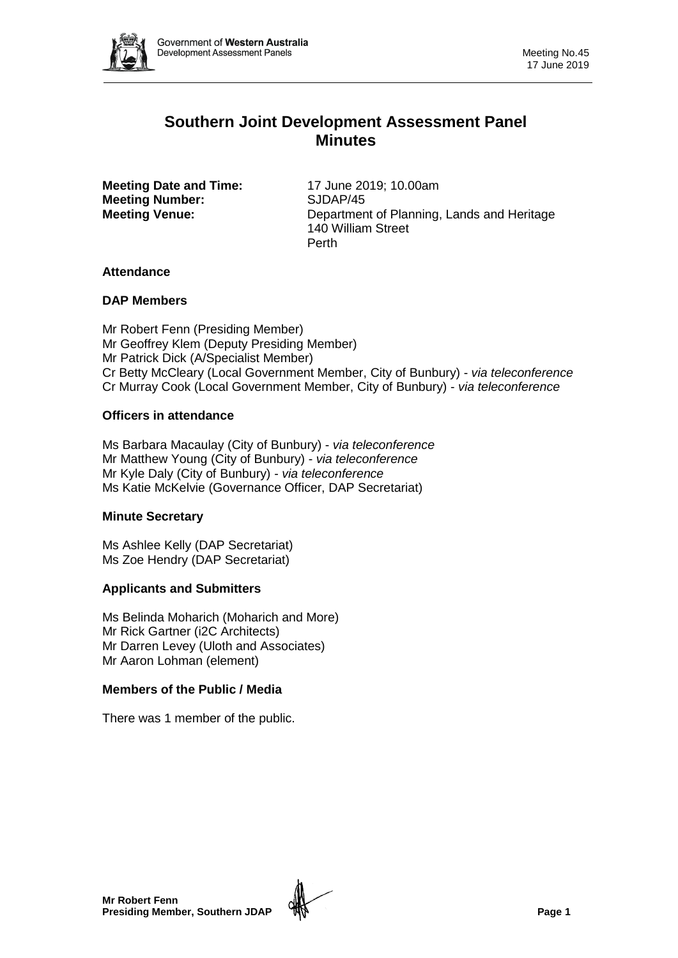

# **Southern Joint Development Assessment Panel Minutes**

**Meeting Date and Time:** 17 June 2019; 10.00am **Meeting Number:** SJDAP/45

**Meeting Venue:** Department of Planning, Lands and Heritage 140 William Street Perth

# **Attendance**

# **DAP Members**

Mr Robert Fenn (Presiding Member) Mr Geoffrey Klem (Deputy Presiding Member) Mr Patrick Dick (A/Specialist Member) Cr Betty McCleary (Local Government Member, City of Bunbury) - *via teleconference* Cr Murray Cook (Local Government Member, City of Bunbury) - *via teleconference*

# **Officers in attendance**

Ms Barbara Macaulay (City of Bunbury) - *via teleconference* Mr Matthew Young (City of Bunbury) - *via teleconference* Mr Kyle Daly (City of Bunbury) - *via teleconference* Ms Katie McKelvie (Governance Officer, DAP Secretariat)

# **Minute Secretary**

Ms Ashlee Kelly (DAP Secretariat) Ms Zoe Hendry (DAP Secretariat)

# **Applicants and Submitters**

Ms Belinda Moharich (Moharich and More) Mr Rick Gartner (i2C Architects) Mr Darren Levey (Uloth and Associates) Mr Aaron Lohman (element)

# **Members of the Public / Media**

There was 1 member of the public.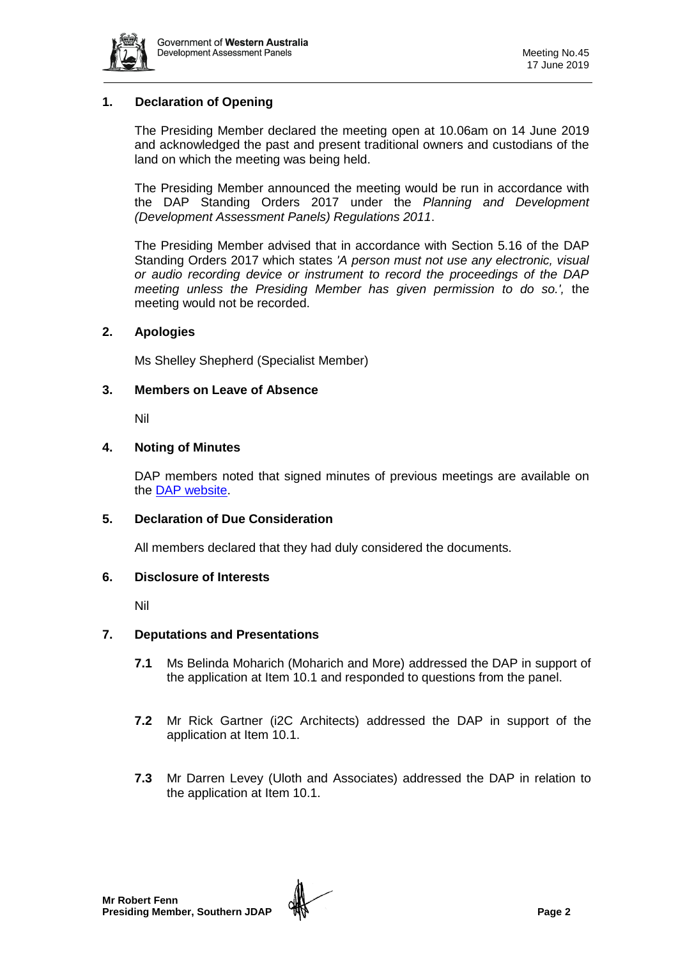

# **1. Declaration of Opening**

The Presiding Member declared the meeting open at 10.06am on 14 June 2019 and acknowledged the past and present traditional owners and custodians of the land on which the meeting was being held.

The Presiding Member announced the meeting would be run in accordance with the DAP Standing Orders 2017 under the *Planning and Development (Development Assessment Panels) Regulations 2011*.

The Presiding Member advised that in accordance with Section 5.16 of the DAP Standing Orders 2017 which states *'A person must not use any electronic, visual or audio recording device or instrument to record the proceedings of the DAP meeting unless the Presiding Member has given permission to do so.',* the meeting would not be recorded.

## **2. Apologies**

Ms Shelley Shepherd (Specialist Member)

### **3. Members on Leave of Absence**

Nil

### **4. Noting of Minutes**

DAP members noted that signed minutes of previous meetings are available on the [DAP website.](https://www.dplh.wa.gov.au/about/development-assessment-panels/daps-agendas-and-minutes)

#### **5. Declaration of Due Consideration**

All members declared that they had duly considered the documents.

#### **6. Disclosure of Interests**

Nil

#### **7. Deputations and Presentations**

- **7.1** Ms Belinda Moharich (Moharich and More) addressed the DAP in support of the application at Item 10.1 and responded to questions from the panel.
- **7.2** Mr Rick Gartner (i2C Architects) addressed the DAP in support of the application at Item 10.1.
- **7.3** Mr Darren Levey (Uloth and Associates) addressed the DAP in relation to the application at Item 10.1.

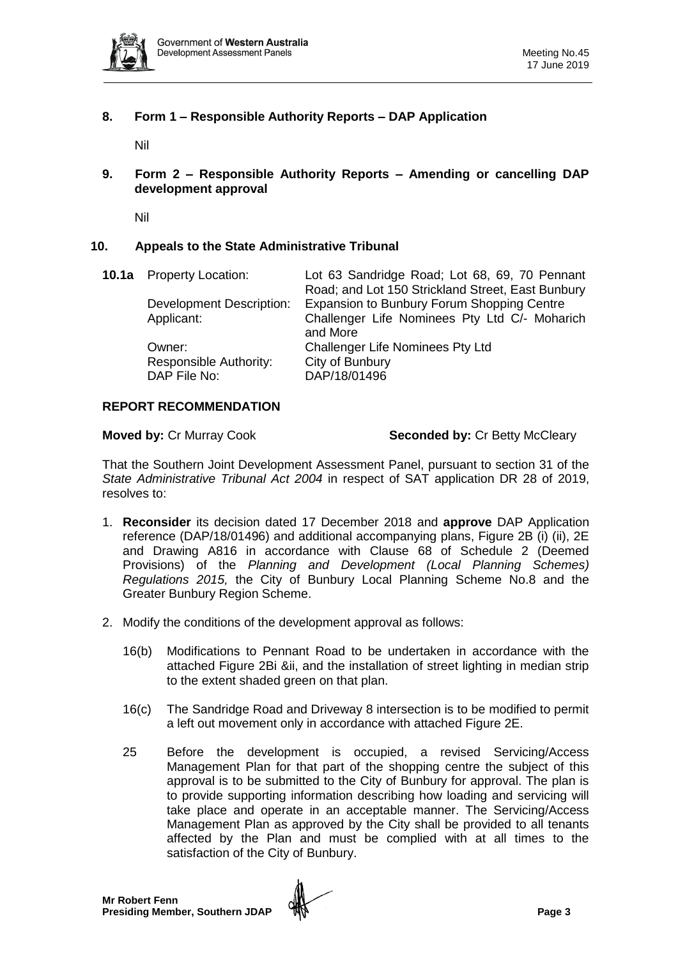

# **8. Form 1 – Responsible Authority Reports – DAP Application**

Nil

**9. Form 2 – Responsible Authority Reports – Amending or cancelling DAP development approval**

Nil

## **10. Appeals to the State Administrative Tribunal**

| <b>10.1a</b> Property Location: | Lot 63 Sandridge Road; Lot 68, 69, 70 Pennant     |
|---------------------------------|---------------------------------------------------|
|                                 | Road; and Lot 150 Strickland Street, East Bunbury |
| Development Description:        | Expansion to Bunbury Forum Shopping Centre        |
| Applicant:                      | Challenger Life Nominees Pty Ltd C/- Moharich     |
|                                 | and More                                          |
| Owner:                          | <b>Challenger Life Nominees Pty Ltd</b>           |
| Responsible Authority:          | City of Bunbury                                   |
| DAP File No:                    | DAP/18/01496                                      |
|                                 |                                                   |

#### **REPORT RECOMMENDATION**

**Moved by: Cr Murray Cook <b>Seconded by: Cr Betty McCleary** 

That the Southern Joint Development Assessment Panel, pursuant to section 31 of the *State Administrative Tribunal Act 2004* in respect of SAT application DR 28 of 2019, resolves to:

- 1. **Reconsider** its decision dated 17 December 2018 and **approve** DAP Application reference (DAP/18/01496) and additional accompanying plans, Figure 2B (i) (ii), 2E and Drawing A816 in accordance with Clause 68 of Schedule 2 (Deemed Provisions) of the *Planning and Development (Local Planning Schemes) Regulations 2015,* the City of Bunbury Local Planning Scheme No.8 and the Greater Bunbury Region Scheme.
- 2. Modify the conditions of the development approval as follows:
	- 16(b) Modifications to Pennant Road to be undertaken in accordance with the attached Figure 2Bi &ii, and the installation of street lighting in median strip to the extent shaded green on that plan.
	- 16(c) The Sandridge Road and Driveway 8 intersection is to be modified to permit a left out movement only in accordance with attached Figure 2E.
	- 25 Before the development is occupied, a revised Servicing/Access Management Plan for that part of the shopping centre the subject of this approval is to be submitted to the City of Bunbury for approval. The plan is to provide supporting information describing how loading and servicing will take place and operate in an acceptable manner. The Servicing/Access Management Plan as approved by the City shall be provided to all tenants affected by the Plan and must be complied with at all times to the satisfaction of the City of Bunbury.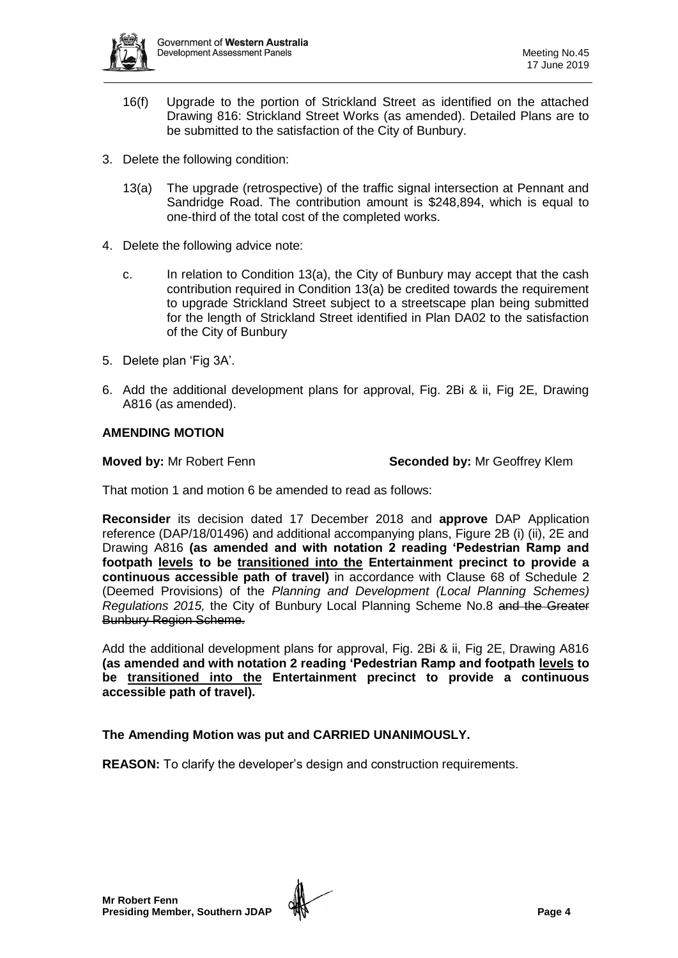

- 16(f) Upgrade to the portion of Strickland Street as identified on the attached Drawing 816: Strickland Street Works (as amended). Detailed Plans are to be submitted to the satisfaction of the City of Bunbury.
- 3. Delete the following condition:
	- 13(a) The upgrade (retrospective) of the traffic signal intersection at Pennant and Sandridge Road. The contribution amount is \$248,894, which is equal to one-third of the total cost of the completed works.
- 4. Delete the following advice note:
	- c. In relation to Condition 13(a), the City of Bunbury may accept that the cash contribution required in Condition 13(a) be credited towards the requirement to upgrade Strickland Street subject to a streetscape plan being submitted for the length of Strickland Street identified in Plan DA02 to the satisfaction of the City of Bunbury
- 5. Delete plan 'Fig 3A'.
- 6. Add the additional development plans for approval, Fig. 2Bi & ii, Fig 2E, Drawing A816 (as amended).

# **AMENDING MOTION**

**Moved by:** Mr Robert Fenn **Seconded by:** Mr Geoffrey Klem

That motion 1 and motion 6 be amended to read as follows:

**Reconsider** its decision dated 17 December 2018 and **approve** DAP Application reference (DAP/18/01496) and additional accompanying plans, Figure 2B (i) (ii), 2E and Drawing A816 **(as amended and with notation 2 reading 'Pedestrian Ramp and footpath levels to be transitioned into the Entertainment precinct to provide a continuous accessible path of travel)** in accordance with Clause 68 of Schedule 2 (Deemed Provisions) of the *Planning and Development (Local Planning Schemes) Regulations 2015,* the City of Bunbury Local Planning Scheme No.8 and the Greater Bunbury Region Scheme.

Add the additional development plans for approval, Fig. 2Bi & ii, Fig 2E, Drawing A816 **(as amended and with notation 2 reading 'Pedestrian Ramp and footpath levels to be transitioned into the Entertainment precinct to provide a continuous accessible path of travel).**

# **The Amending Motion was put and CARRIED UNANIMOUSLY.**

**REASON:** To clarify the developer's design and construction requirements.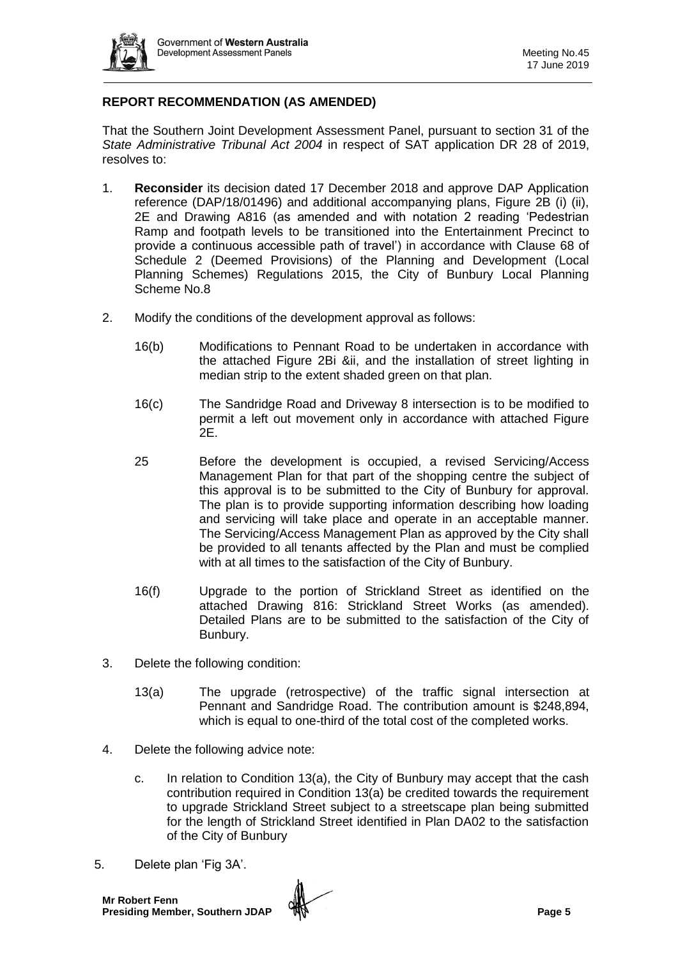

# **REPORT RECOMMENDATION (AS AMENDED)**

That the Southern Joint Development Assessment Panel, pursuant to section 31 of the *State Administrative Tribunal Act 2004* in respect of SAT application DR 28 of 2019, resolves to:

- 1. **Reconsider** its decision dated 17 December 2018 and approve DAP Application reference (DAP/18/01496) and additional accompanying plans, Figure 2B (i) (ii), 2E and Drawing A816 (as amended and with notation 2 reading 'Pedestrian Ramp and footpath levels to be transitioned into the Entertainment Precinct to provide a continuous accessible path of travel') in accordance with Clause 68 of Schedule 2 (Deemed Provisions) of the Planning and Development (Local Planning Schemes) Regulations 2015, the City of Bunbury Local Planning Scheme No.8
- 2. Modify the conditions of the development approval as follows:
	- 16(b) Modifications to Pennant Road to be undertaken in accordance with the attached Figure 2Bi &ii, and the installation of street lighting in median strip to the extent shaded green on that plan.
	- 16(c) The Sandridge Road and Driveway 8 intersection is to be modified to permit a left out movement only in accordance with attached Figure 2E.
	- 25 Before the development is occupied, a revised Servicing/Access Management Plan for that part of the shopping centre the subject of this approval is to be submitted to the City of Bunbury for approval. The plan is to provide supporting information describing how loading and servicing will take place and operate in an acceptable manner. The Servicing/Access Management Plan as approved by the City shall be provided to all tenants affected by the Plan and must be complied with at all times to the satisfaction of the City of Bunbury.
	- 16(f) Upgrade to the portion of Strickland Street as identified on the attached Drawing 816: Strickland Street Works (as amended). Detailed Plans are to be submitted to the satisfaction of the City of Bunbury.
- 3. Delete the following condition:
	- 13(a) The upgrade (retrospective) of the traffic signal intersection at Pennant and Sandridge Road. The contribution amount is \$248,894, which is equal to one-third of the total cost of the completed works.
- 4. Delete the following advice note:
	- c. In relation to Condition 13(a), the City of Bunbury may accept that the cash contribution required in Condition 13(a) be credited towards the requirement to upgrade Strickland Street subject to a streetscape plan being submitted for the length of Strickland Street identified in Plan DA02 to the satisfaction of the City of Bunbury
- 5. Delete plan 'Fig 3A'.

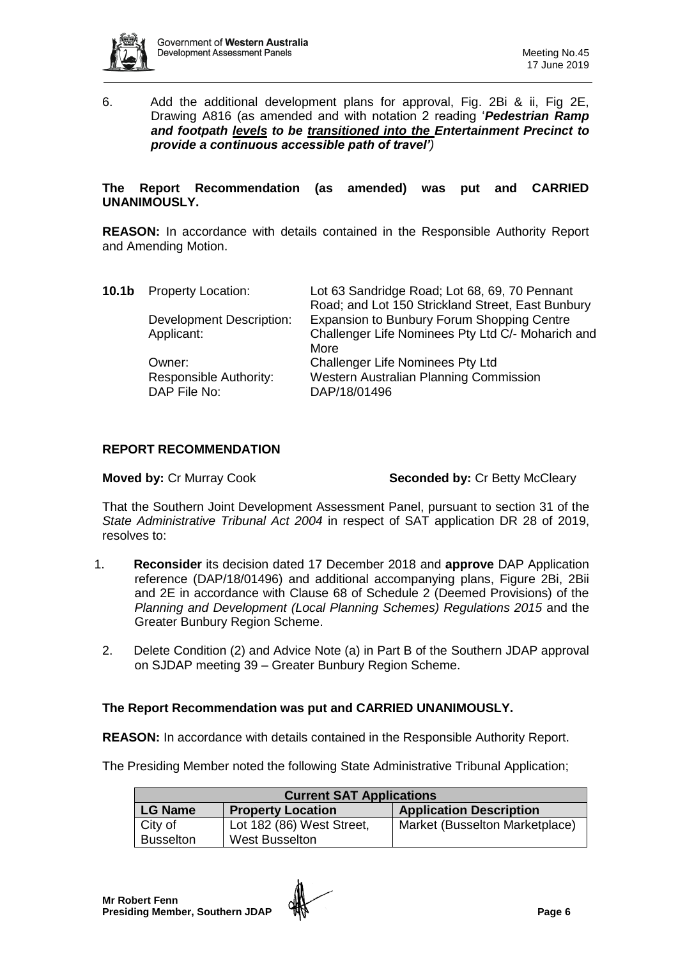

6. Add the additional development plans for approval, Fig. 2Bi & ii, Fig 2E, Drawing A816 (as amended and with notation 2 reading '*Pedestrian Ramp and footpath levels to be transitioned into the Entertainment Precinct to provide a continuous accessible path of travel')*

#### **The Report Recommendation (as amended) was put and CARRIED UNANIMOUSLY.**

**REASON:** In accordance with details contained in the Responsible Authority Report and Amending Motion.

| 10.1b | <b>Property Location:</b>       | Lot 63 Sandridge Road; Lot 68, 69, 70 Pennant<br>Road; and Lot 150 Strickland Street, East Bunbury |
|-------|---------------------------------|----------------------------------------------------------------------------------------------------|
|       | <b>Development Description:</b> | Expansion to Bunbury Forum Shopping Centre                                                         |
|       | Applicant:                      | Challenger Life Nominees Pty Ltd C/- Moharich and                                                  |
|       |                                 | More                                                                                               |
|       | Owner:                          | <b>Challenger Life Nominees Pty Ltd</b>                                                            |
|       | Responsible Authority:          | Western Australian Planning Commission                                                             |
|       | DAP File No:                    | DAP/18/01496                                                                                       |
|       |                                 |                                                                                                    |

# **REPORT RECOMMENDATION**

**Moved by: Cr Murray Cook <b>Seconded by: Cr Betty McCleary** 

That the Southern Joint Development Assessment Panel, pursuant to section 31 of the *State Administrative Tribunal Act 2004* in respect of SAT application DR 28 of 2019, resolves to:

- 1. **Reconsider** its decision dated 17 December 2018 and **approve** DAP Application reference (DAP/18/01496) and additional accompanying plans, Figure 2Bi, 2Bii and 2E in accordance with Clause 68 of Schedule 2 (Deemed Provisions) of the *Planning and Development (Local Planning Schemes) Regulations 2015* and the Greater Bunbury Region Scheme.
	- 2. Delete Condition (2) and Advice Note (a) in Part B of the Southern JDAP approval on SJDAP meeting 39 – Greater Bunbury Region Scheme.

# **The Report Recommendation was put and CARRIED UNANIMOUSLY.**

**REASON:** In accordance with details contained in the Responsible Authority Report.

The Presiding Member noted the following State Administrative Tribunal Application;

| <b>Current SAT Applications</b> |                           |                                |  |  |  |
|---------------------------------|---------------------------|--------------------------------|--|--|--|
| <b>LG Name</b>                  | <b>Property Location</b>  | <b>Application Description</b> |  |  |  |
| City of                         | Lot 182 (86) West Street, | Market (Busselton Marketplace) |  |  |  |
| <b>Busselton</b>                | <b>West Busselton</b>     |                                |  |  |  |